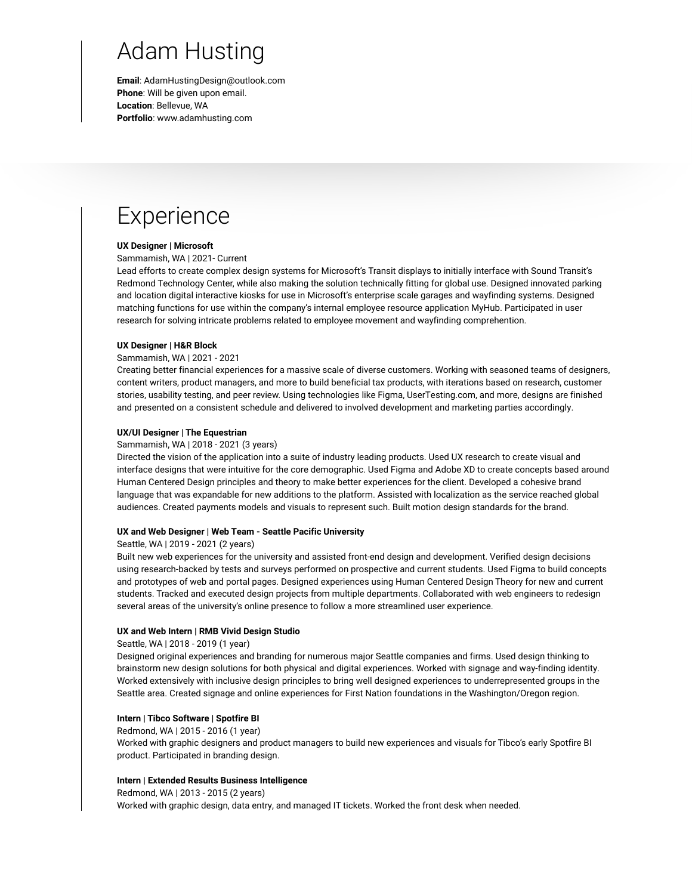## Adam Husting

**Email**: AdamHustingDesign@outlook.com **Phone**: Will be given upon email. **Location**: Bellevue, WA **Portfolio**: www.adamhusting.com

## Experience

## **UX Designer | Microsoft**

Sammamish, WA | 2021- Current

Lead efforts to create complex design systems for Microsoft's Transit displays to initially interface with Sound Transit's Redmond Technology Center, while also making the solution technically fitting for global use. Designed innovated parking and location digital interactive kiosks for use in Microsoft's enterprise scale garages and wayfinding systems. Designed matching functions for use within the company's internal employee resource application MyHub. Participated in user research for solving intricate problems related to employee movement and wayfinding comprehention.

## **UX Designer | H&R Block**

#### Sammamish, WA | 2021 - 2021

Creating better financial experiences for a massive scale of diverse customers. Working with seasoned teams of designers, content writers, product managers, and more to build beneficial tax products, with iterations based on research, customer stories, usability testing, and peer review. Using technologies like Figma, UserTesting.com, and more, designs are finished and presented on a consistent schedule and delivered to involved development and marketing parties accordingly.

### **UX/UI Designer | The Equestrian**

#### Sammamish, WA | 2018 - 2021 (3 years)

Directed the vision of the application into a suite of industry leading products. Used UX research to create visual and interface designs that were intuitive for the core demographic. Used Figma and Adobe XD to create concepts based around Human Centered Design principles and theory to make better experiences for the client. Developed a cohesive brand language that was expandable for new additions to the platform. Assisted with localization as the service reached global audiences. Created payments models and visuals to represent such. Built motion design standards for the brand.

### **UX and Web Designer | Web Team - Seattle Pacific University**

#### Seattle, WA | 2019 - 2021 (2 years)

Built new web experiences for the university and assisted front-end design and development. Verified design decisions using research-backed by tests and surveys performed on prospective and current students. Used Figma to build concepts and prototypes of web and portal pages. Designed experiences using Human Centered Design Theory for new and current students. Tracked and executed design projects from multiple departments. Collaborated with web engineers to redesign several areas of the university's online presence to follow a more streamlined user experience.

## **UX and Web Intern | RMB Vivid Design Studio**

#### Seattle, WA | 2018 - 2019 (1 year)

Designed original experiences and branding for numerous major Seattle companies and firms. Used design thinking to brainstorm new design solutions for both physical and digital experiences. Worked with signage and way-finding identity. Worked extensively with inclusive design principles to bring well designed experiences to underrepresented groups in the Seattle area. Created signage and online experiences for First Nation foundations in the Washington/Oregon region.

## **Intern | Tibco Software | Spotfire BI**

Redmond, WA | 2015 - 2016 (1 year)

Worked with graphic designers and product managers to build new experiences and visuals for Tibco's early Spotfire BI product. Participated in branding design.

#### **Intern | Extended Results Business Intelligence**

Redmond, WA | 2013 - 2015 (2 years) Worked with graphic design, data entry, and managed IT tickets. Worked the front desk when needed.